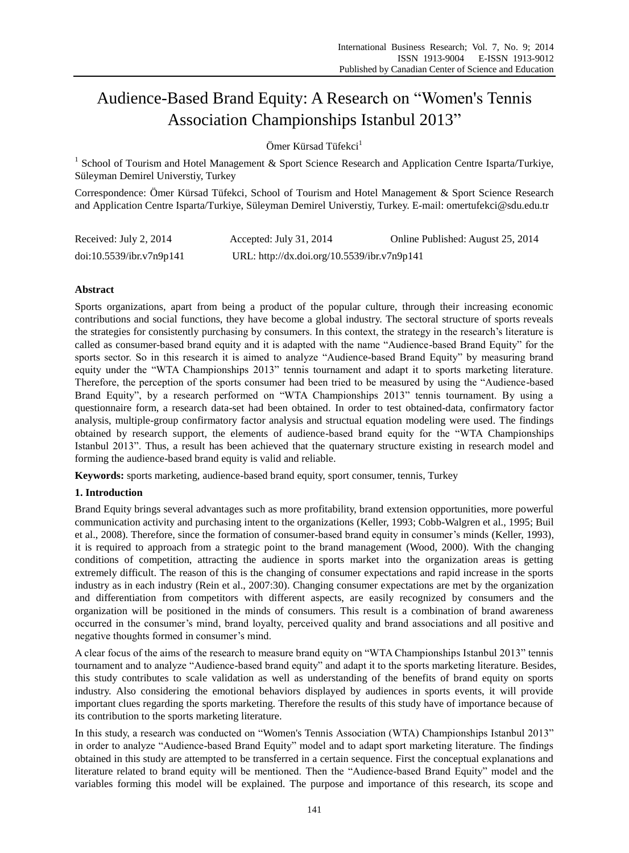# Audience-Based Brand Equity: A Research on "Women's Tennis Association Championships Istanbul 2013"

Ömer Kürsad Tüfekci<sup>1</sup>

<sup>1</sup> School of Tourism and Hotel Management & Sport Science Research and Application Centre Isparta/Turkiye, Süleyman Demirel Universtiy, Turkey

Correspondence: Ömer Kürsad Tüfekci, School of Tourism and Hotel Management & Sport Science Research and Application Centre Isparta/Turkiye, Süleyman Demirel Universtiy, Turkey. E-mail: omertufekci@sdu.edu.tr

| Received: July 2, 2014   | Accepted: July 31, 2014                     | Online Published: August 25, 2014 |
|--------------------------|---------------------------------------------|-----------------------------------|
| doi:10.5539/ibr.v7n9p141 | URL: http://dx.doi.org/10.5539/ibr.v7n9p141 |                                   |

## **Abstract**

Sports organizations, apart from being a product of the popular culture, through their increasing economic contributions and social functions, they have become a global industry. The sectoral structure of sports reveals the strategies for consistently purchasing by consumers. In this context, the strategy in the research's literature is called as consumer-based brand equity and it is adapted with the name "Audience-based Brand Equity" for the sports sector. So in this research it is aimed to analyze "Audience-based Brand Equity" by measuring brand equity under the "WTA Championships 2013" tennis tournament and adapt it to sports marketing literature. Therefore, the perception of the sports consumer had been tried to be measured by using the "Audience-based Brand Equity", by a research performed on "WTA Championships 2013" tennis tournament. By using a questionnaire form, a research data-set had been obtained. In order to test obtained-data, confirmatory factor analysis, multiple-group confirmatory factor analysis and structual equation modeling were used. The findings obtained by research support, the elements of audience-based brand equity for the "WTA Championships Istanbul 2013". Thus, a result has been achieved that the quaternary structure existing in research model and forming the audience-based brand equity is valid and reliable.

**Keywords:** sports marketing, audience-based brand equity, sport consumer, tennis, Turkey

### **1. Introduction**

Brand Equity brings several advantages such as more profitability, brand extension opportunities, more powerful communication activity and purchasing intent to the organizations (Keller, 1993; Cobb-Walgren et al., 1995; Buil et al., 2008). Therefore, since the formation of consumer-based brand equity in consumer's minds (Keller, 1993), it is required to approach from a strategic point to the brand management (Wood, 2000). With the changing conditions of competition, attracting the audience in sports market into the organization areas is getting extremely difficult. The reason of this is the changing of consumer expectations and rapid increase in the sports industry as in each industry (Rein et al., 2007:30). Changing consumer expectations are met by the organization and differentiation from competitors with different aspects, are easily recognized by consumers and the organization will be positioned in the minds of consumers. This result is a combination of brand awareness occurred in the consumer's mind, brand loyalty, perceived quality and brand associations and all positive and negative thoughts formed in consumer's mind.

A clear focus of the aims of the research to measure brand equity on "WTA Championships Istanbul 2013" tennis tournament and to analyze "Audience-based brand equity" and adapt it to the sports marketing literature. Besides, this study contributes to scale validation as well as understanding of the benefits of brand equity on sports industry. Also considering the emotional behaviors displayed by audiences in sports events, it will provide important clues regarding the sports marketing. Therefore the results of this study have of importance because of its contribution to the sports marketing literature.

In this study, a research was conducted on "Women's Tennis Association (WTA) Championships Istanbul 2013" in order to analyze "Audience-based Brand Equity" model and to adapt sport marketing literature. The findings obtained in this study are attempted to be transferred in a certain sequence. First the conceptual explanations and literature related to brand equity will be mentioned. Then the "Audience-based Brand Equity" model and the variables forming this model will be explained. The purpose and importance of this research, its scope and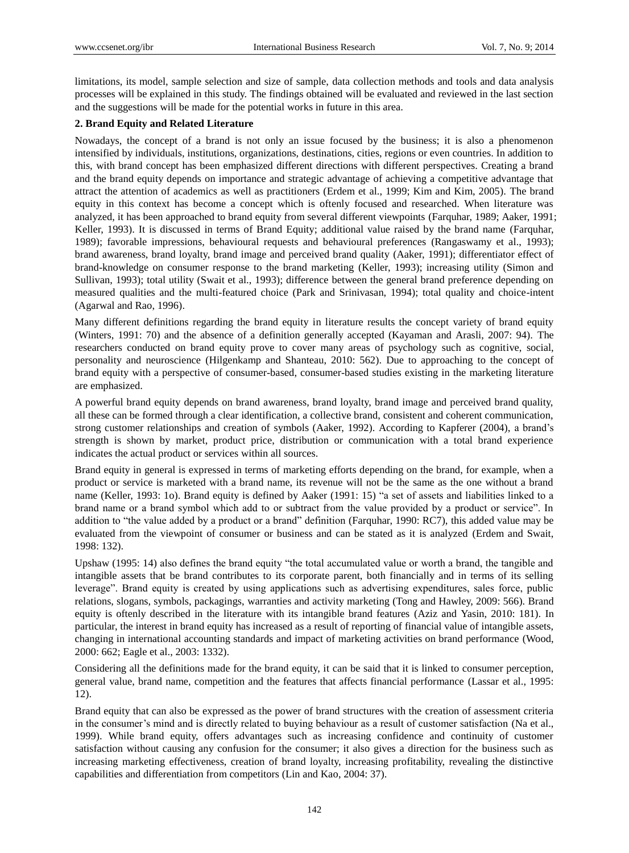limitations, its model, sample selection and size of sample, data collection methods and tools and data analysis processes will be explained in this study. The findings obtained will be evaluated and reviewed in the last section and the suggestions will be made for the potential works in future in this area.

## **2. Brand Equity and Related Literature**

Nowadays, the concept of a brand is not only an issue focused by the business; it is also a phenomenon intensified by individuals, institutions, organizations, destinations, cities, regions or even countries. In addition to this, with brand concept has been emphasized different directions with different perspectives. Creating a brand and the brand equity depends on importance and strategic advantage of achieving a competitive advantage that attract the attention of academics as well as practitioners (Erdem et al., 1999; Kim and Kim, 2005). The brand equity in this context has become a concept which is oftenly focused and researched. When literature was analyzed, it has been approached to brand equity from several different viewpoints (Farquhar, 1989; Aaker, 1991; Keller, 1993). It is discussed in terms of Brand Equity; additional value raised by the brand name (Farquhar, 1989); favorable impressions, behavioural requests and behavioural preferences (Rangaswamy et al., 1993); brand awareness, brand loyalty, brand image and perceived brand quality (Aaker, 1991); differentiator effect of brand-knowledge on consumer response to the brand marketing (Keller, 1993); increasing utility (Simon and Sullivan, 1993); total utility (Swait et al., 1993); difference between the general brand preference depending on measured qualities and the multi-featured choice (Park and Srinivasan, 1994); total quality and choice-intent (Agarwal and Rao, 1996).

Many different definitions regarding the brand equity in literature results the concept variety of brand equity (Winters, 1991: 70) and the absence of a definition generally accepted (Kayaman and Arasli, 2007: 94). The researchers conducted on brand equity prove to cover many areas of psychology such as cognitive, social, personality and neuroscience (Hilgenkamp and Shanteau, 2010: 562). Due to approaching to the concept of brand equity with a perspective of consumer-based, consumer-based studies existing in the marketing literature are emphasized.

A powerful brand equity depends on brand awareness, brand loyalty, brand image and perceived brand quality, all these can be formed through a clear identification, a collective brand, consistent and coherent communication, strong customer relationships and creation of symbols (Aaker, 1992). According to Kapferer (2004), a brand's strength is shown by market, product price, distribution or communication with a total brand experience indicates the actual product or services within all sources.

Brand equity in general is expressed in terms of marketing efforts depending on the brand, for example, when a product or service is marketed with a brand name, its revenue will not be the same as the one without a brand name (Keller, 1993: 1o). Brand equity is defined by Aaker (1991: 15) "a set of assets and liabilities linked to a brand name or a brand symbol which add to or subtract from the value provided by a product or service". In addition to "the value added by a product or a brand" definition (Farquhar, 1990: RC7), this added value may be evaluated from the viewpoint of consumer or business and can be stated as it is analyzed (Erdem and Swait, 1998: 132).

Upshaw (1995: 14) also defines the brand equity "the total accumulated value or worth a brand, the tangible and intangible assets that be brand contributes to its corporate parent, both financially and in terms of its selling leverage". Brand equity is created by using applications such as advertising expenditures, sales force, public relations, slogans, symbols, packagings, warranties and activity marketing (Tong and Hawley, 2009: 566). Brand equity is oftenly described in the literature with its intangible brand features (Aziz and Yasin, 2010: 181). In particular, the interest in brand equity has increased as a result of reporting of financial value of intangible assets, changing in international accounting standards and impact of marketing activities on brand performance (Wood, 2000: 662; Eagle et al., 2003: 1332).

Considering all the definitions made for the brand equity, it can be said that it is linked to consumer perception, general value, brand name, competition and the features that affects financial performance (Lassar et al., 1995: 12).

Brand equity that can also be expressed as the power of brand structures with the creation of assessment criteria in the consumer's mind and is directly related to buying behaviour as a result of customer satisfaction (Na et al., 1999). While brand equity, offers advantages such as increasing confidence and continuity of customer satisfaction without causing any confusion for the consumer; it also gives a direction for the business such as increasing marketing effectiveness, creation of brand loyalty, increasing profitability, revealing the distinctive capabilities and differentiation from competitors (Lin and Kao, 2004: 37).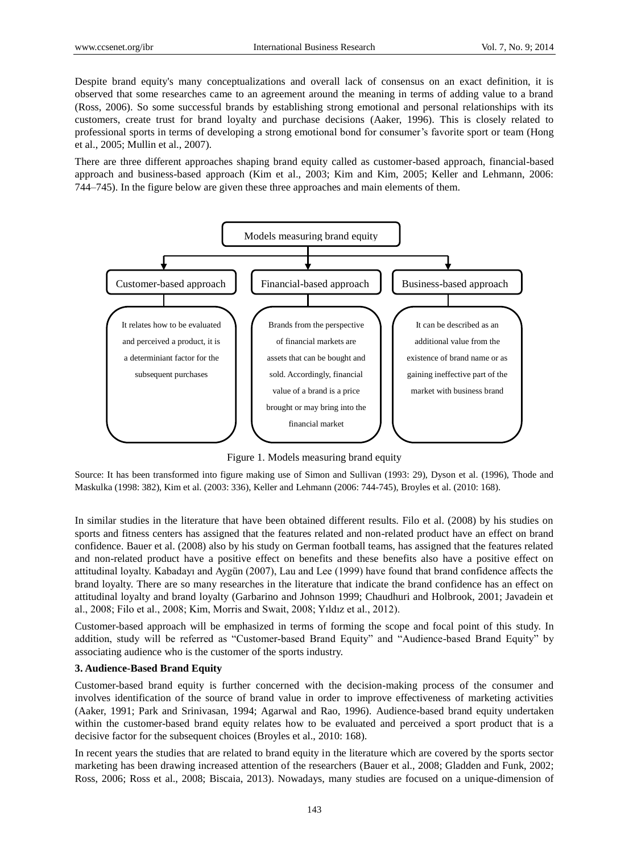Despite brand equity's many conceptualizations and overall lack of consensus on an exact definition, it is observed that some researches came to an agreement around the meaning in terms of adding value to a brand (Ross, 2006). So some successful brands by establishing strong emotional and personal relationships with its customers, create trust for brand loyalty and purchase decisions (Aaker, 1996). This is closely related to professional sports in terms of developing a strong emotional bond for consumer's favorite sport or team (Hong et al., 2005; Mullin et al., 2007).

There are three different approaches shaping brand equity called as customer-based approach, financial-based approach and business-based approach (Kim et al., 2003; Kim and Kim, 2005; Keller and Lehmann, 2006: 744–745). In the figure below are given these three approaches and main elements of them.



Figure 1. Models measuring brand equity

Source: It has been transformed into figure making use of Simon and Sullivan (1993: 29), Dyson et al. (1996), Thode and Maskulka (1998: 382), Kim et al. (2003: 336), Keller and Lehmann (2006: 744-745), Broyles et al. (2010: 168).

In similar studies in the literature that have been obtained different results. Filo et al. (2008) by his studies on sports and fitness centers has assigned that the features related and non-related product have an effect on brand confidence. Bauer et al. (2008) also by his study on German football teams, has assigned that the features related and non-related product have a positive effect on benefits and these benefits also have a positive effect on attitudinal loyalty. Kabadayı and Aygün (2007), Lau and Lee (1999) have found that brand confidence affects the brand loyalty. There are so many researches in the literature that indicate the brand confidence has an effect on attitudinal loyalty and brand loyalty (Garbarino and Johnson 1999; Chaudhuri and Holbrook, 2001; Javadein et al., 2008; Filo et al., 2008; Kim, Morris and Swait, 2008; Yıldız et al., 2012).

Customer-based approach will be emphasized in terms of forming the scope and focal point of this study. In addition, study will be referred as "Customer-based Brand Equity" and "Audience-based Brand Equity" by associating audience who is the customer of the sports industry.

### **3. Audience-Based Brand Equity**

Customer-based brand equity is further concerned with the decision-making process of the consumer and involves identification of the source of brand value in order to improve effectiveness of marketing activities (Aaker, 1991; Park and Srinivasan, 1994; Agarwal and Rao, 1996). Audience-based brand equity undertaken within the customer-based brand equity relates how to be evaluated and perceived a sport product that is a decisive factor for the subsequent choices (Broyles et al., 2010: 168).

In recent years the studies that are related to brand equity in the literature which are covered by the sports sector marketing has been drawing increased attention of the researchers (Bauer et al., 2008; Gladden and Funk, 2002; Ross, 2006; Ross et al., 2008; Biscaia, 2013). Nowadays, many studies are focused on a unique-dimension of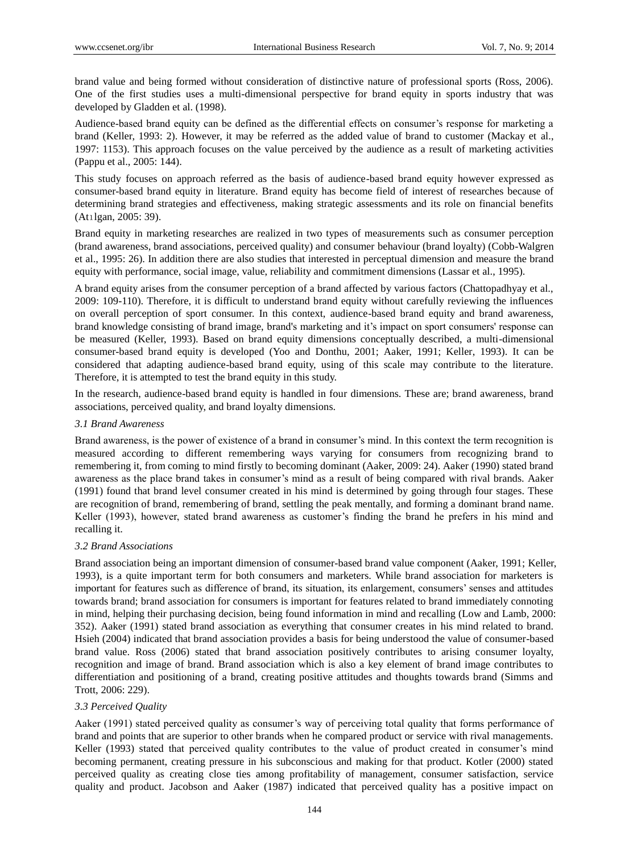brand value and being formed without consideration of distinctive nature of professional sports (Ross, 2006). One of the first studies uses a multi-dimensional perspective for brand equity in sports industry that was developed by Gladden et al. (1998).

Audience-based brand equity can be defined as the differential effects on consumer's response for marketing a brand (Keller, 1993: 2). However, it may be referred as the added value of brand to customer (Mackay et al., 1997: 1153). This approach focuses on the value perceived by the audience as a result of marketing activities (Pappu et al., 2005: 144).

This study focuses on approach referred as the basis of audience-based brand equity however expressed as consumer-based brand equity in literature. Brand equity has become field of interest of researches because of determining brand strategies and effectiveness, making strategic assessments and its role on financial benefits (Atılgan, 2005: 39).

Brand equity in marketing researches are realized in two types of measurements such as consumer perception (brand awareness, brand associations, perceived quality) and consumer behaviour (brand loyalty) (Cobb-Walgren et al., 1995: 26). In addition there are also studies that interested in perceptual dimension and measure the brand equity with performance, social image, value, reliability and commitment dimensions (Lassar et al., 1995).

A brand equity arises from the consumer perception of a brand affected by various factors (Chattopadhyay et al., 2009: 109-110). Therefore, it is difficult to understand brand equity without carefully reviewing the influences on overall perception of sport consumer. In this context, audience-based brand equity and brand awareness, brand knowledge consisting of brand image, brand's marketing and it's impact on sport consumers' response can be measured (Keller, 1993). Based on brand equity dimensions conceptually described, a multi-dimensional consumer-based brand equity is developed (Yoo and Donthu, 2001; Aaker, 1991; Keller, 1993). It can be considered that adapting audience-based brand equity, using of this scale may contribute to the literature. Therefore, it is attempted to test the brand equity in this study.

In the research, audience-based brand equity is handled in four dimensions. These are; brand awareness, brand associations, perceived quality, and brand loyalty dimensions.

## *3.1 Brand Awareness*

Brand awareness, is the power of existence of a brand in consumer's mind. In this context the term recognition is measured according to different remembering ways varying for consumers from recognizing brand to remembering it, from coming to mind firstly to becoming dominant (Aaker, 2009: 24). Aaker (1990) stated brand awareness as the place brand takes in consumer's mind as a result of being compared with rival brands. Aaker (1991) found that brand level consumer created in his mind is determined by going through four stages. These are recognition of brand, remembering of brand, settling the peak mentally, and forming a dominant brand name. Keller (1993), however, stated brand awareness as customer's finding the brand he prefers in his mind and recalling it.

### *3.2 Brand Associations*

Brand association being an important dimension of consumer-based brand value component (Aaker, 1991; Keller, 1993), is a quite important term for both consumers and marketers. While brand association for marketers is important for features such as difference of brand, its situation, its enlargement, consumers' senses and attitudes towards brand; brand association for consumers is important for features related to brand immediately connoting in mind, helping their purchasing decision, being found information in mind and recalling (Low and Lamb, 2000: 352). Aaker (1991) stated brand association as everything that consumer creates in his mind related to brand. Hsieh (2004) indicated that brand association provides a basis for being understood the value of consumer-based brand value. Ross (2006) stated that brand association positively contributes to arising consumer loyalty, recognition and image of brand. Brand association which is also a key element of brand image contributes to differentiation and positioning of a brand, creating positive attitudes and thoughts towards brand (Simms and Trott, 2006: 229).

### *3.3 Perceived Quality*

Aaker (1991) stated perceived quality as consumer's way of perceiving total quality that forms performance of brand and points that are superior to other brands when he compared product or service with rival managements. Keller (1993) stated that perceived quality contributes to the value of product created in consumer's mind becoming permanent, creating pressure in his subconscious and making for that product. Kotler (2000) stated perceived quality as creating close ties among profitability of management, consumer satisfaction, service quality and product. Jacobson and Aaker (1987) indicated that perceived quality has a positive impact on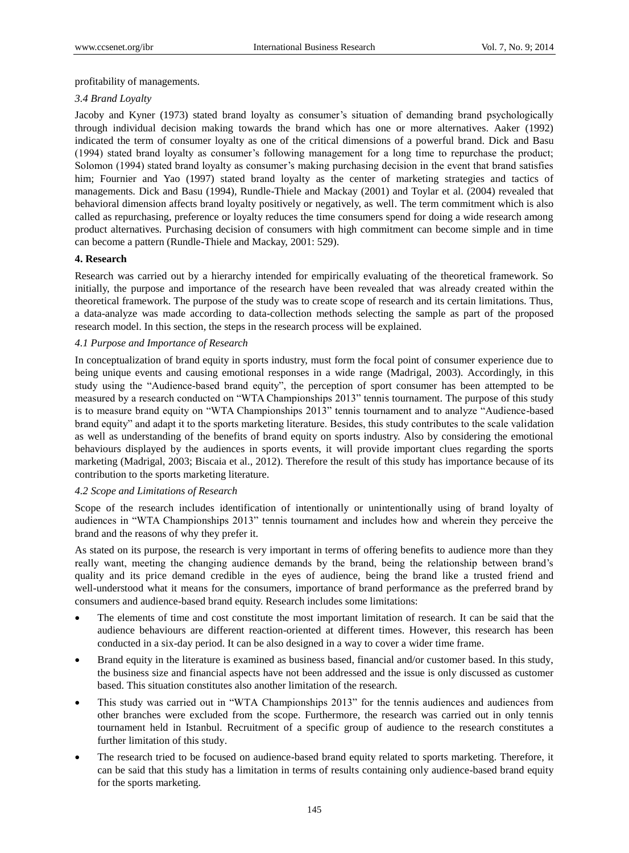profitability of managements.

## *3.4 Brand Loyalty*

Jacoby and Kyner (1973) stated brand loyalty as consumer's situation of demanding brand psychologically through individual decision making towards the brand which has one or more alternatives. Aaker (1992) indicated the term of consumer loyalty as one of the critical dimensions of a powerful brand. Dick and Basu (1994) stated brand loyalty as consumer's following management for a long time to repurchase the product; Solomon (1994) stated brand loyalty as consumer's making purchasing decision in the event that brand satisfies him; Fournier and Yao (1997) stated brand loyalty as the center of marketing strategies and tactics of managements. Dick and Basu (1994), Rundle-Thiele and Mackay (2001) and Toylar et al. (2004) revealed that behavioral dimension affects brand loyalty positively or negatively, as well. The term commitment which is also called as repurchasing, preference or loyalty reduces the time consumers spend for doing a wide research among product alternatives. Purchasing decision of consumers with high commitment can become simple and in time can become a pattern (Rundle-Thiele and Mackay, 2001: 529).

## **4. Research**

Research was carried out by a hierarchy intended for empirically evaluating of the theoretical framework. So initially, the purpose and importance of the research have been revealed that was already created within the theoretical framework. The purpose of the study was to create scope of research and its certain limitations. Thus, a data-analyze was made according to data-collection methods selecting the sample as part of the proposed research model. In this section, the steps in the research process will be explained.

## *4.1 Purpose and Importance of Research*

In conceptualization of brand equity in sports industry, must form the focal point of consumer experience due to being unique events and causing emotional responses in a wide range (Madrigal, 2003). Accordingly, in this study using the "Audience-based brand equity", the perception of sport consumer has been attempted to be measured by a research conducted on "WTA Championships 2013" tennis tournament. The purpose of this study is to measure brand equity on "WTA Championships 2013" tennis tournament and to analyze "Audience-based brand equity" and adapt it to the sports marketing literature. Besides, this study contributes to the scale validation as well as understanding of the benefits of brand equity on sports industry. Also by considering the emotional behaviours displayed by the audiences in sports events, it will provide important clues regarding the sports marketing (Madrigal, 2003; Biscaia et al., 2012). Therefore the result of this study has importance because of its contribution to the sports marketing literature.

### *4.2 Scope and Limitations of Research*

Scope of the research includes identification of intentionally or unintentionally using of brand loyalty of audiences in "WTA Championships 2013" tennis tournament and includes how and wherein they perceive the brand and the reasons of why they prefer it.

As stated on its purpose, the research is very important in terms of offering benefits to audience more than they really want, meeting the changing audience demands by the brand, being the relationship between brand's quality and its price demand credible in the eyes of audience, being the brand like a trusted friend and well-understood what it means for the consumers, importance of brand performance as the preferred brand by consumers and audience-based brand equity. Research includes some limitations:

- The elements of time and cost constitute the most important limitation of research. It can be said that the audience behaviours are different reaction-oriented at different times. However, this research has been conducted in a six-day period. It can be also designed in a way to cover a wider time frame.
- Brand equity in the literature is examined as business based, financial and/or customer based. In this study, the business size and financial aspects have not been addressed and the issue is only discussed as customer based. This situation constitutes also another limitation of the research.
- This study was carried out in "WTA Championships 2013" for the tennis audiences and audiences from other branches were excluded from the scope. Furthermore, the research was carried out in only tennis tournament held in Istanbul. Recruitment of a specific group of audience to the research constitutes a further limitation of this study.
- The research tried to be focused on audience-based brand equity related to sports marketing. Therefore, it can be said that this study has a limitation in terms of results containing only audience-based brand equity for the sports marketing.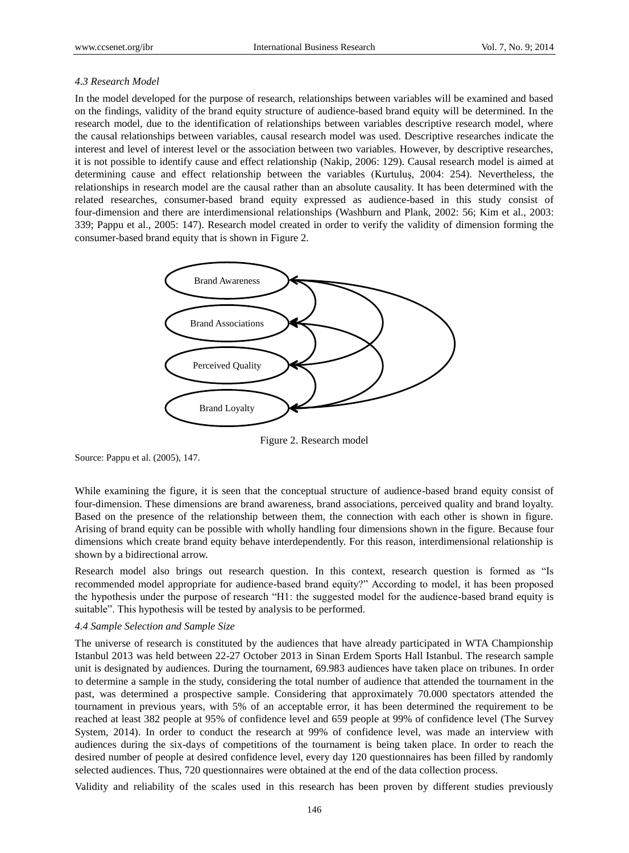#### *4.3 Research Model*

In the model developed for the purpose of research, relationships between variables will be examined and based on the findings, validity of the brand equity structure of audience-based brand equity will be determined. In the research model, due to the identification of relationships between variables descriptive research model, where the causal relationships between variables, causal research model was used. Descriptive researches indicate the interest and level of interest level or the association between two variables. However, by descriptive researches, it is not possible to identify cause and effect relationship (Nakip, 2006: 129). Causal research model is aimed at determining cause and effect relationship between the variables (Kurtuluş, 2004: 254). Nevertheless, the relationships in research model are the causal rather than an absolute causality. It has been determined with the related researches, consumer-based brand equity expressed as audience-based in this study consist of four-dimension and there are interdimensional relationships (Washburn and Plank, 2002: 56; Kim et al., 2003: 339; Pappu et al., 2005: 147). Research model created in order to verify the validity of dimension forming the consumer-based brand equity that is shown in Figure 2.



Figure 2. Research model

Source: Pappu et al. (2005), 147.

While examining the figure, it is seen that the conceptual structure of audience-based brand equity consist of four-dimension. These dimensions are brand awareness, brand associations, perceived quality and brand loyalty. Based on the presence of the relationship between them, the connection with each other is shown in figure. Arising of brand equity can be possible with wholly handling four dimensions shown in the figure. Because four dimensions which create brand equity behave interdependently. For this reason, interdimensional relationship is shown by a bidirectional arrow.

Research model also brings out research question. In this context, research question is formed as "Is recommended model appropriate for audience-based brand equity?" According to model, it has been proposed the hypothesis under the purpose of research "H1: the suggested model for the audience-based brand equity is suitable". This hypothesis will be tested by analysis to be performed.

#### *4.4 Sample Selection and Sample Size*

The universe of research is constituted by the audiences that have already participated in WTA Championship Istanbul 2013 was held between 22-27 October 2013 in Sinan Erdem Sports Hall Istanbul. The research sample unit is designated by audiences. During the tournament, 69.983 audiences have taken place on tribunes. In order to determine a sample in the study, considering the total number of audience that attended the tournament in the past, was determined a prospective sample. Considering that approximately 70.000 spectators attended the tournament in previous years, with 5% of an acceptable error, it has been determined the requirement to be reached at least 382 people at 95% of confidence level and 659 people at 99% of confidence level (The Survey System, 2014). In order to conduct the research at 99% of confidence level, was made an interview with audiences during the six-days of competitions of the tournament is being taken place. In order to reach the desired number of people at desired confidence level, every day 120 questionnaires has been filled by randomly selected audiences. Thus, 720 questionnaires were obtained at the end of the data collection process.

Validity and reliability of the scales used in this research has been proven by different studies previously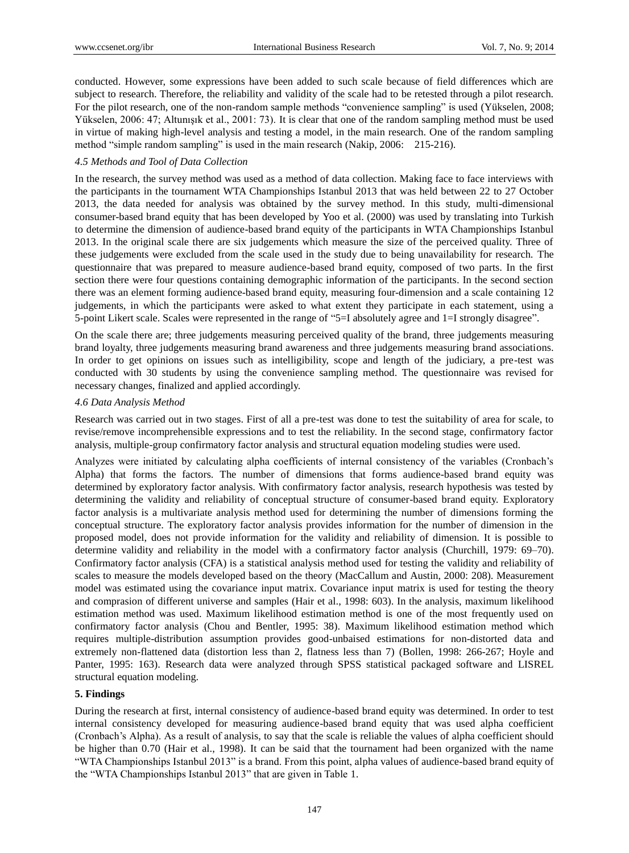conducted. However, some expressions have been added to such scale because of field differences which are subject to research. Therefore, the reliability and validity of the scale had to be retested through a pilot research. For the pilot research, one of the non-random sample methods "convenience sampling" is used (Yükselen, 2008; Yükselen, 2006: 47; Altunışık et al., 2001: 73). It is clear that one of the random sampling method must be used in virtue of making high-level analysis and testing a model, in the main research. One of the random sampling method "simple random sampling" is used in the main research (Nakip, 2006: 215-216).

#### *4.5 Methods and Tool of Data Collection*

In the research, the survey method was used as a method of data collection. Making face to face interviews with the participants in the tournament WTA Championships Istanbul 2013 that was held between 22 to 27 October 2013, the data needed for analysis was obtained by the survey method. In this study, multi-dimensional consumer-based brand equity that has been developed by Yoo et al. (2000) was used by translating into Turkish to determine the dimension of audience-based brand equity of the participants in WTA Championships Istanbul 2013. In the original scale there are six judgements which measure the size of the perceived quality. Three of these judgements were excluded from the scale used in the study due to being unavailability for research. The questionnaire that was prepared to measure audience-based brand equity, composed of two parts. In the first section there were four questions containing demographic information of the participants. In the second section there was an element forming audience-based brand equity, measuring four-dimension and a scale containing 12 judgements, in which the participants were asked to what extent they participate in each statement, using a 5-point Likert scale. Scales were represented in the range of "5=I absolutely agree and 1=I strongly disagree".

On the scale there are; three judgements measuring perceived quality of the brand, three judgements measuring brand loyalty, three judgements measuring brand awareness and three judgements measuring brand associations. In order to get opinions on issues such as intelligibility, scope and length of the judiciary, a pre-test was conducted with 30 students by using the convenience sampling method. The questionnaire was revised for necessary changes, finalized and applied accordingly.

#### *4.6 Data Analysis Method*

Research was carried out in two stages. First of all a pre-test was done to test the suitability of area for scale, to revise/remove incomprehensible expressions and to test the reliability. In the second stage, confirmatory factor analysis, multiple-group confirmatory factor analysis and structural equation modeling studies were used.

Analyzes were initiated by calculating alpha coefficients of internal consistency of the variables (Cronbach's Alpha) that forms the factors. The number of dimensions that forms audience-based brand equity was determined by exploratory factor analysis. With confirmatory factor analysis, research hypothesis was tested by determining the validity and reliability of conceptual structure of consumer-based brand equity. Exploratory factor analysis is a multivariate analysis method used for determining the number of dimensions forming the conceptual structure. The exploratory factor analysis provides information for the number of dimension in the proposed model, does not provide information for the validity and reliability of dimension. It is possible to determine validity and reliability in the model with a confirmatory factor analysis (Churchill, 1979: 69–70). Confirmatory factor analysis (CFA) is a statistical analysis method used for testing the validity and reliability of scales to measure the models developed based on the theory (MacCallum and Austin, 2000: 208). Measurement model was estimated using the covariance input matrix. Covariance input matrix is used for testing the theory and comprasion of different universe and samples (Hair et al., 1998: 603). In the analysis, maximum likelihood estimation method was used. Maximum likelihood estimation method is one of the most frequently used on confirmatory factor analysis (Chou and Bentler, 1995: 38). Maximum likelihood estimation method which requires multiple-distribution assumption provides good-unbaised estimations for non-distorted data and extremely non-flattened data (distortion less than 2, flatness less than 7) (Bollen, 1998: 266-267; Hoyle and Panter, 1995: 163). Research data were analyzed through SPSS statistical packaged software and LISREL structural equation modeling.

### **5. Findings**

During the research at first, internal consistency of audience-based brand equity was determined. In order to test internal consistency developed for measuring audience-based brand equity that was used alpha coefficient (Cronbach's Alpha). As a result of analysis, to say that the scale is reliable the values of alpha coefficient should be higher than 0.70 (Hair et al., 1998). It can be said that the tournament had been organized with the name "WTA Championships Istanbul 2013" is a brand. From this point, alpha values of audience-based brand equity of the "WTA Championships Istanbul 2013" that are given in Table 1.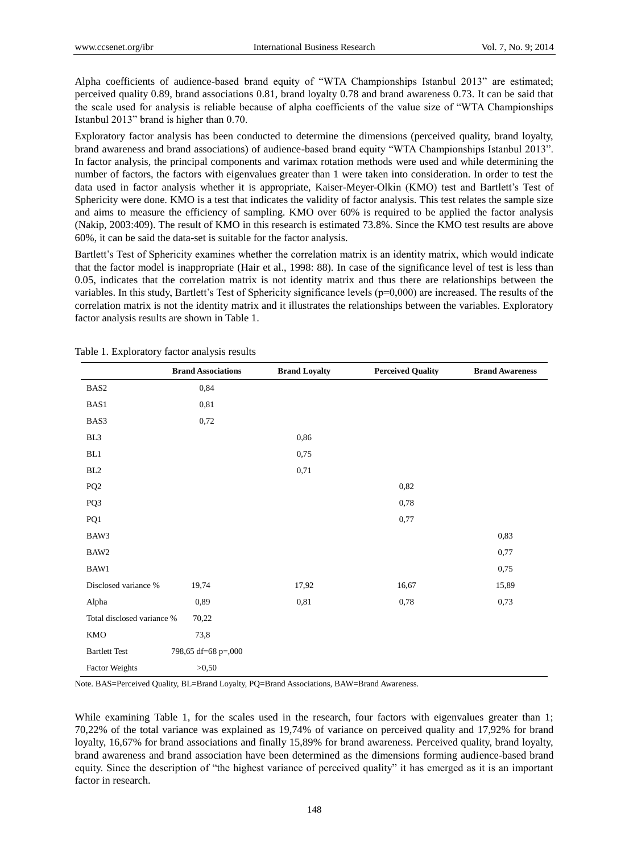Alpha coefficients of audience-based brand equity of "WTA Championships Istanbul 2013" are estimated; perceived quality 0.89, brand associations 0.81, brand loyalty 0.78 and brand awareness 0.73. It can be said that the scale used for analysis is reliable because of alpha coefficients of the value size of "WTA Championships Istanbul 2013" brand is higher than 0.70.

Exploratory factor analysis has been conducted to determine the dimensions (perceived quality, brand loyalty, brand awareness and brand associations) of audience-based brand equity "WTA Championships Istanbul 2013". In factor analysis, the principal components and varimax rotation methods were used and while determining the number of factors, the factors with eigenvalues greater than 1 were taken into consideration. In order to test the data used in factor analysis whether it is appropriate, Kaiser-Meyer-Olkin (KMO) test and Bartlett's Test of Sphericity were done. KMO is a test that indicates the validity of factor analysis. This test relates the sample size and aims to measure the efficiency of sampling. KMO over 60% is required to be applied the factor analysis (Nakip, 2003:409). The result of KMO in this research is estimated 73.8%. Since the KMO test results are above 60%, it can be said the data-set is suitable for the factor analysis.

Bartlett's Test of Sphericity examines whether the correlation matrix is an identity matrix, which would indicate that the factor model is inappropriate (Hair et al., 1998: 88). In case of the significance level of test is less than 0.05, indicates that the correlation matrix is not identity matrix and thus there are relationships between the variables. In this study, Bartlett's Test of Sphericity significance levels (p=0,000) are increased. The results of the correlation matrix is not the identity matrix and it illustrates the relationships between the variables. Exploratory factor analysis results are shown in Table 1.

| л.                         |                           |                      |                          |                        |
|----------------------------|---------------------------|----------------------|--------------------------|------------------------|
|                            | <b>Brand Associations</b> | <b>Brand Loyalty</b> | <b>Perceived Quality</b> | <b>Brand Awareness</b> |
| BAS <sub>2</sub>           | 0,84                      |                      |                          |                        |
| BAS1                       | 0,81                      |                      |                          |                        |
| BAS3                       | 0,72                      |                      |                          |                        |
| BL <sub>3</sub>            |                           | 0,86                 |                          |                        |
| BL1                        |                           | 0,75                 |                          |                        |
| $\rm BL2$                  |                           | 0,71                 |                          |                        |
| PQ <sub>2</sub>            |                           |                      | 0,82                     |                        |
| PQ3                        |                           |                      | 0,78                     |                        |
| PQ1                        |                           |                      | 0,77                     |                        |
| BAW3                       |                           |                      |                          | 0,83                   |
| BAW2                       |                           |                      |                          | 0,77                   |
| BAW1                       |                           |                      |                          | 0,75                   |
| Disclosed variance %       | 19,74                     | 17,92                | 16,67                    | 15,89                  |
| Alpha                      | 0,89                      | 0,81                 | 0,78                     | 0,73                   |
| Total disclosed variance % | 70,22                     |                      |                          |                        |
| KMO                        | 73,8                      |                      |                          |                        |
| <b>Bartlett Test</b>       | 798,65 df=68 p=,000       |                      |                          |                        |
| <b>Factor Weights</b>      | >0,50                     |                      |                          |                        |

Table 1. Exploratory factor analysis results

Note. BAS=Perceived Quality, BL=Brand Loyalty, PQ=Brand Associations, BAW=Brand Awareness.

While examining Table 1, for the scales used in the research, four factors with eigenvalues greater than 1; 70,22% of the total variance was explained as 19,74% of variance on perceived quality and 17,92% for brand loyalty, 16,67% for brand associations and finally 15,89% for brand awareness. Perceived quality, brand loyalty, brand awareness and brand association have been determined as the dimensions forming audience-based brand equity. Since the description of "the highest variance of perceived quality" it has emerged as it is an important factor in research.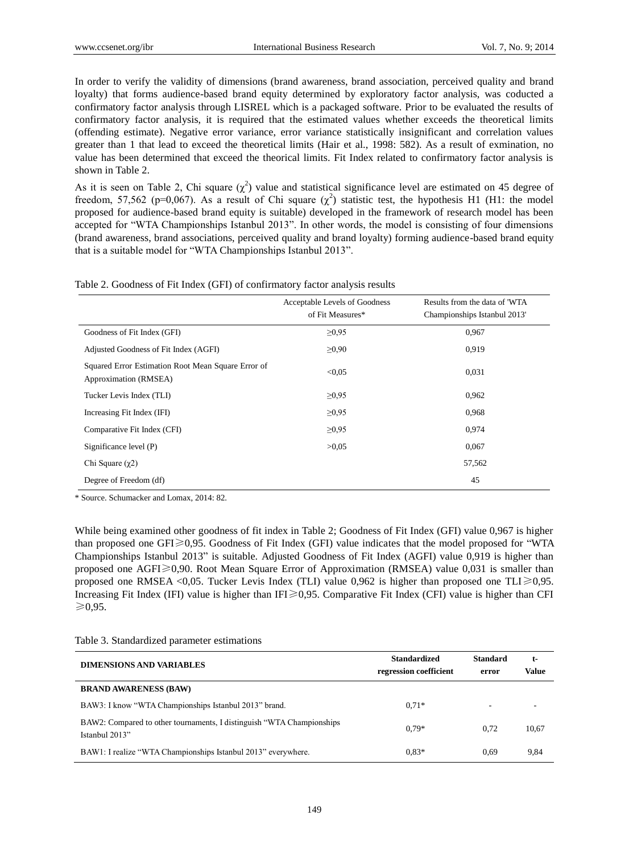In order to verify the validity of dimensions (brand awareness, brand association, perceived quality and brand loyalty) that forms audience-based brand equity determined by exploratory factor analysis, was coducted a confirmatory factor analysis through LISREL which is a packaged software. Prior to be evaluated the results of confirmatory factor analysis, it is required that the estimated values whether exceeds the theoretical limits (offending estimate). Negative error variance, error variance statistically insignificant and correlation values greater than 1 that lead to exceed the theoretical limits (Hair et al., 1998: 582). As a result of exmination, no value has been determined that exceed the theorical limits. Fit Index related to confirmatory factor analysis is shown in Table 2.

As it is seen on Table 2, Chi square  $(\chi^2)$  value and statistical significance level are estimated on 45 degree of freedom, 57,562 (p=0,067). As a result of Chi square  $(\chi^2)$  statistic test, the hypothesis H1 (H1: the model proposed for audience-based brand equity is suitable) developed in the framework of research model has been accepted for "WTA Championships Istanbul 2013". In other words, the model is consisting of four dimensions (brand awareness, brand associations, perceived quality and brand loyalty) forming audience-based brand equity that is a suitable model for "WTA Championships Istanbul 2013".

| Table 2. Goodness of Fit Index (GFI) of confirmatory factor analysis results |  |  |  |  |  |
|------------------------------------------------------------------------------|--|--|--|--|--|
|------------------------------------------------------------------------------|--|--|--|--|--|

|                                                                             | Acceptable Levels of Goodness<br>of Fit Measures* | Results from the data of 'WTA<br>Championships Istanbul 2013' |
|-----------------------------------------------------------------------------|---------------------------------------------------|---------------------------------------------------------------|
| Goodness of Fit Index (GFI)                                                 | $\geq 0.95$                                       | 0.967                                                         |
| Adjusted Goodness of Fit Index (AGFI)                                       | $\geq 0.90$                                       | 0.919                                                         |
| Squared Error Estimation Root Mean Square Error of<br>Approximation (RMSEA) | < 0.05                                            | 0,031                                                         |
| Tucker Levis Index (TLI)                                                    | $\geq 0.95$                                       | 0.962                                                         |
| Increasing Fit Index (IFI)                                                  | $\geq 0.95$                                       | 0,968                                                         |
| Comparative Fit Index (CFI)                                                 | $\geq 0.95$                                       | 0.974                                                         |
| Significance level (P)                                                      | >0.05                                             | 0,067                                                         |
| Chi Square $(\gamma 2)$                                                     |                                                   | 57,562                                                        |
| Degree of Freedom (df)                                                      |                                                   | 45                                                            |

\* Source. Schumacker and Lomax, 2014: 82.

While being examined other goodness of fit index in Table 2; Goodness of Fit Index (GFI) value 0,967 is higher than proposed one GFI≥0,95. Goodness of Fit Index (GFI) value indicates that the model proposed for "WTA Championships Istanbul 2013" is suitable. Adjusted Goodness of Fit Index (AGFI) value 0,919 is higher than proposed one AGFI≥0,90. Root Mean Square Error of Approximation (RMSEA) value 0,031 is smaller than proposed one RMSEA <0,05. Tucker Levis Index (TLI) value 0,962 is higher than proposed one TLI $\geq 0.95$ . Increasing Fit Index (IFI) value is higher than IFI≥0,95. Comparative Fit Index (CFI) value is higher than CFI ≥0,95.

| Table 3. Standardized parameter estimations |  |  |
|---------------------------------------------|--|--|
|---------------------------------------------|--|--|

| <b>DIMENSIONS AND VARIABLES</b>                                                          | <b>Standardized</b><br>regression coefficient | <b>Standard</b><br>error | t-<br>Value |
|------------------------------------------------------------------------------------------|-----------------------------------------------|--------------------------|-------------|
| <b>BRAND AWARENESS (BAW)</b>                                                             |                                               |                          |             |
| BAW3: I know "WTA Championships Istanbul 2013" brand.                                    | $0.71*$                                       | $\overline{\phantom{a}}$ |             |
| BAW2: Compared to other tournaments, I distinguish "WTA Championships"<br>Istanbul 2013" | $0.79*$                                       | 0.72                     | 10,67       |
| BAW1: I realize "WTA Championships Istanbul 2013" everywhere.                            | $0.83*$                                       | 0.69                     | 9.84        |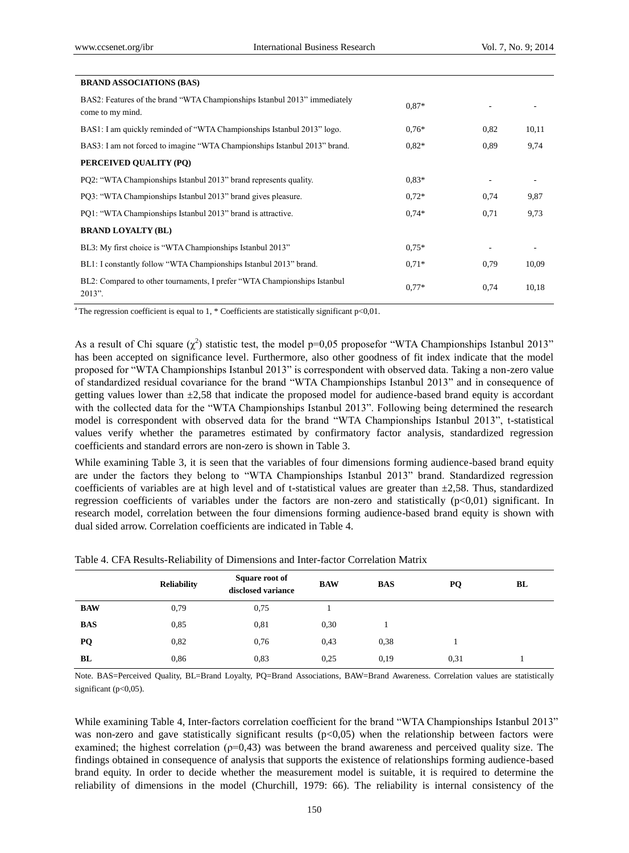| <b>BRAND ASSOCIATIONS (BAS)</b>                                                               |         |      |       |
|-----------------------------------------------------------------------------------------------|---------|------|-------|
| BAS2: Features of the brand "WTA Championships Istanbul 2013" immediately<br>come to my mind. | $0.87*$ |      |       |
| BAS1: I am quickly reminded of "WTA Championships Istanbul 2013" logo.                        | $0.76*$ | 0,82 | 10,11 |
| BAS3: I am not forced to imagine "WTA Championships Istanbul 2013" brand.                     | $0.82*$ | 0.89 | 9,74  |
| PERCEIVED QUALITY (PQ)                                                                        |         |      |       |
| PO2: "WTA Championships Istanbul 2013" brand represents quality.                              | $0.83*$ |      |       |
| PQ3: "WTA Championships Istanbul 2013" brand gives pleasure.                                  | $0.72*$ | 0,74 | 9,87  |
| PO1: "WTA Championships Istanbul 2013" brand is attractive.                                   | $0.74*$ | 0,71 | 9,73  |
| <b>BRAND LOYALTY (BL)</b>                                                                     |         |      |       |
| BL3: My first choice is "WTA Championships Istanbul 2013"                                     | $0.75*$ |      |       |
| BL1: I constantly follow "WTA Championships Istanbul 2013" brand.                             | $0.71*$ | 0,79 | 10,09 |
| BL2: Compared to other tournaments, I prefer "WTA Championships Istanbul"<br>2013".           | $0.77*$ | 0,74 | 10,18 |

<sup>a</sup>The regression coefficient is equal to 1,  $*$  Coefficients are statistically significant  $p<0,01$ .

As a result of Chi square  $(\chi^2)$  statistic test, the model p=0,05 proposefor "WTA Championships Istanbul 2013" has been accepted on significance level. Furthermore, also other goodness of fit index indicate that the model proposed for "WTA Championships Istanbul 2013" is correspondent with observed data. Taking a non-zero value of standardized residual covariance for the brand "WTA Championships Istanbul 2013" and in consequence of getting values lower than  $\pm 2.58$  that indicate the proposed model for audience-based brand equity is accordant with the collected data for the "WTA Championships Istanbul 2013". Following being determined the research model is correspondent with observed data for the brand "WTA Championships Istanbul 2013", t-statistical values verify whether the parametres estimated by confirmatory factor analysis, standardized regression coefficients and standard errors are non-zero is shown in Table 3.

While examining Table 3, it is seen that the variables of four dimensions forming audience-based brand equity are under the factors they belong to "WTA Championships Istanbul 2013" brand. Standardized regression coefficients of variables are at high level and of t-statistical values are greater than  $\pm$ 2,58. Thus, standardized regression coefficients of variables under the factors are non-zero and statistically (p<0,01) significant. In research model, correlation between the four dimensions forming audience-based brand equity is shown with dual sided arrow. Correlation coefficients are indicated in Table 4.

|            | <b>Reliability</b> | Square root of<br>disclosed variance | <b>BAW</b> | <b>BAS</b> | PQ   | BL |
|------------|--------------------|--------------------------------------|------------|------------|------|----|
| <b>BAW</b> | 0,79               | 0,75                                 |            |            |      |    |
| <b>BAS</b> | 0.85               | 0,81                                 | 0.30       |            |      |    |
| PQ         | 0,82               | 0,76                                 | 0.43       | 0,38       |      |    |
| BL         | 0.86               | 0,83                                 | 0.25       | 0,19       | 0.31 |    |

Table 4. CFA Results-Reliability of Dimensions and Inter-factor Correlation Matrix

Note. BAS=Perceived Quality, BL=Brand Loyalty, PQ=Brand Associations, BAW=Brand Awareness. Correlation values are statistically significant ( $p<0,05$ ).

While examining Table 4, Inter-factors correlation coefficient for the brand "WTA Championships Istanbul 2013" was non-zero and gave statistically significant results  $(p<0.05)$  when the relationship between factors were examined; the highest correlation ( $p=0,43$ ) was between the brand awareness and perceived quality size. The findings obtained in consequence of analysis that supports the existence of relationships forming audience-based brand equity. In order to decide whether the measurement model is suitable, it is required to determine the reliability of dimensions in the model (Churchill, 1979: 66). The reliability is internal consistency of the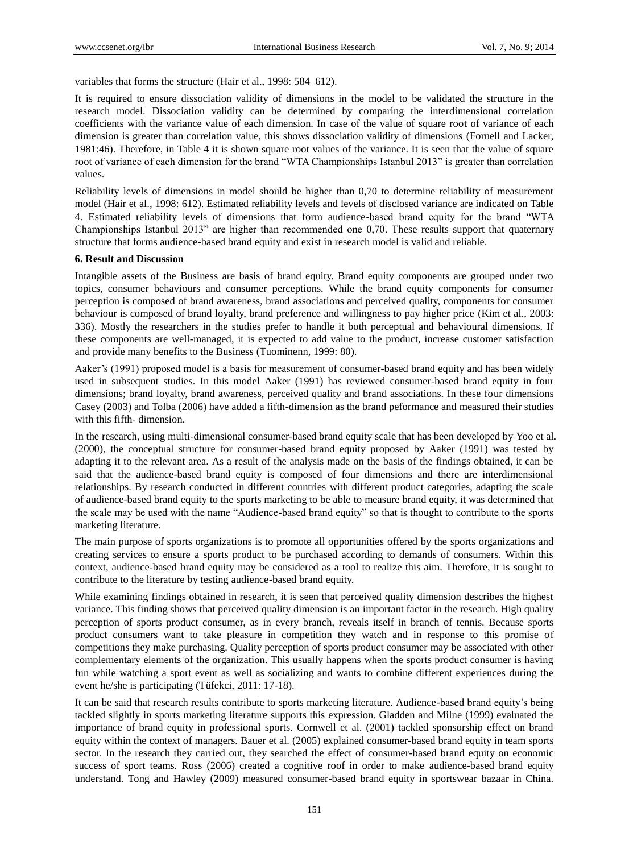variables that forms the structure (Hair et al., 1998: 584–612).

It is required to ensure dissociation validity of dimensions in the model to be validated the structure in the research model. Dissociation validity can be determined by comparing the interdimensional correlation coefficients with the variance value of each dimension. In case of the value of square root of variance of each dimension is greater than correlation value, this shows dissociation validity of dimensions (Fornell and Lacker, 1981:46). Therefore, in Table 4 it is shown square root values of the variance. It is seen that the value of square root of variance of each dimension for the brand "WTA Championships Istanbul 2013" is greater than correlation values.

Reliability levels of dimensions in model should be higher than 0,70 to determine reliability of measurement model (Hair et al., 1998: 612). Estimated reliability levels and levels of disclosed variance are indicated on Table 4. Estimated reliability levels of dimensions that form audience-based brand equity for the brand "WTA Championships Istanbul 2013" are higher than recommended one 0,70. These results support that quaternary structure that forms audience-based brand equity and exist in research model is valid and reliable.

#### **6. Result and Discussion**

Intangible assets of the Business are basis of brand equity. Brand equity components are grouped under two topics, consumer behaviours and consumer perceptions. While the brand equity components for consumer perception is composed of brand awareness, brand associations and perceived quality, components for consumer behaviour is composed of brand loyalty, brand preference and willingness to pay higher price (Kim et al., 2003: 336). Mostly the researchers in the studies prefer to handle it both perceptual and behavioural dimensions. If these components are well-managed, it is expected to add value to the product, increase customer satisfaction and provide many benefits to the Business (Tuominenn, 1999: 80).

Aaker's (1991) proposed model is a basis for measurement of consumer-based brand equity and has been widely used in subsequent studies. In this model Aaker (1991) has reviewed consumer-based brand equity in four dimensions; brand loyalty, brand awareness, perceived quality and brand associations. In these four dimensions Casey (2003) and Tolba (2006) have added a fifth-dimension as the brand peformance and measured their studies with this fifth- dimension.

In the research, using multi-dimensional consumer-based brand equity scale that has been developed by Yoo et al. (2000), the conceptual structure for consumer-based brand equity proposed by Aaker (1991) was tested by adapting it to the relevant area. As a result of the analysis made on the basis of the findings obtained, it can be said that the audience-based brand equity is composed of four dimensions and there are interdimensional relationships. By research conducted in different countries with different product categories, adapting the scale of audience-based brand equity to the sports marketing to be able to measure brand equity, it was determined that the scale may be used with the name "Audience-based brand equity" so that is thought to contribute to the sports marketing literature.

The main purpose of sports organizations is to promote all opportunities offered by the sports organizations and creating services to ensure a sports product to be purchased according to demands of consumers. Within this context, audience-based brand equity may be considered as a tool to realize this aim. Therefore, it is sought to contribute to the literature by testing audience-based brand equity.

While examining findings obtained in research, it is seen that perceived quality dimension describes the highest variance. This finding shows that perceived quality dimension is an important factor in the research. High quality perception of sports product consumer, as in every branch, reveals itself in branch of tennis. Because sports product consumers want to take pleasure in competition they watch and in response to this promise of competitions they make purchasing. Quality perception of sports product consumer may be associated with other complementary elements of the organization. This usually happens when the sports product consumer is having fun while watching a sport event as well as socializing and wants to combine different experiences during the event he/she is participating (Tüfekci, 2011: 17-18).

It can be said that research results contribute to sports marketing literature. Audience-based brand equity's being tackled slightly in sports marketing literature supports this expression. Gladden and Milne (1999) evaluated the importance of brand equity in professional sports. Cornwell et al. (2001) tackled sponsorship effect on brand equity within the context of managers. Bauer et al. (2005) explained consumer-based brand equity in team sports sector. In the research they carried out, they searched the effect of consumer-based brand equity on economic success of sport teams. Ross (2006) created a cognitive roof in order to make audience-based brand equity understand. Tong and Hawley (2009) measured consumer-based brand equity in sportswear bazaar in China.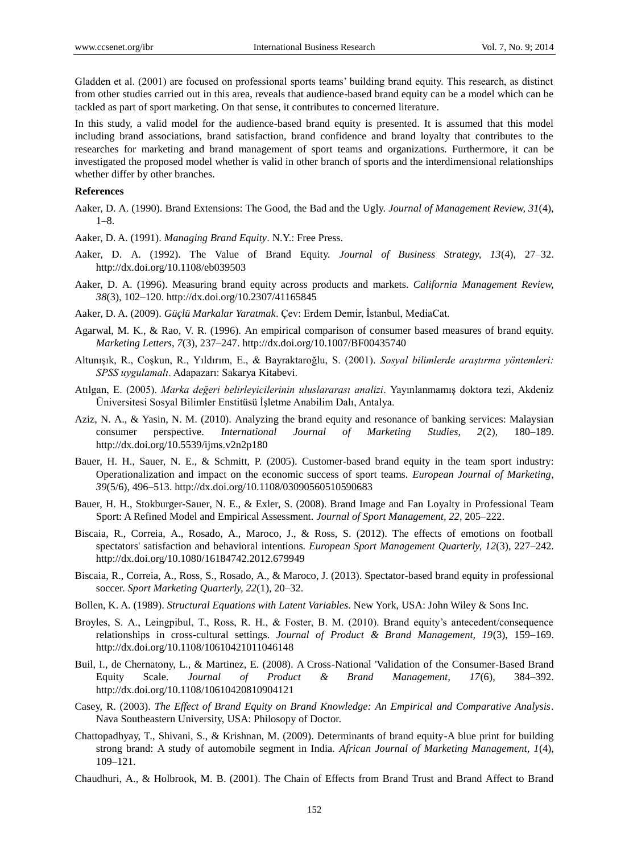Gladden et al. (2001) are focused on professional sports teams' building brand equity. This research, as distinct from other studies carried out in this area, reveals that audience-based brand equity can be a model which can be tackled as part of sport marketing. On that sense, it contributes to concerned literature.

In this study, a valid model for the audience-based brand equity is presented. It is assumed that this model including brand associations, brand satisfaction, brand confidence and brand loyalty that contributes to the researches for marketing and brand management of sport teams and organizations. Furthermore, it can be investigated the proposed model whether is valid in other branch of sports and the interdimensional relationships whether differ by other branches.

#### **References**

- Aaker, D. A. (1990). Brand Extensions: The Good, the Bad and the Ugly. *Journal of Management Review, 31*(4),  $1 - 8$ .
- Aaker, D. A. (1991). *Managing Brand Equity*. N.Y.: Free Press.
- Aaker, D. A. (1992). The Value of Brand Equity. *Journal of Business Strategy, 13*(4), 27–32. http://dx.doi.org/10.1108/eb039503
- Aaker, D. A. (1996). Measuring brand equity across products and markets. *California Management Review, 38*(3), 102–120. http://dx.doi.org/10.2307/41165845
- Aaker, D. A. (2009). *Güçlü Markalar Yaratmak*. Çev: Erdem Demir, İstanbul, MediaCat.
- Agarwal, M. K., & Rao, V. R. (1996). An empirical comparison of consumer based measures of brand equity. *Marketing Letters*, *7*(3), 237–247. http://dx.doi.org/10.1007/BF00435740
- Altunışık, R., Coşkun, R., Yıldırım, E., & Bayraktaroğlu, S. (2001). *Sosyal bilimlerde araştırma yöntemleri: SPSS uygulamalı*. Adapazarı: Sakarya Kitabevi.
- Atılgan, E. (2005). *Marka değeri belirleyicilerinin uluslararası analizi*. Yayınlanmamış doktora tezi, Akdeniz Üniversitesi Sosyal Bilimler Enstitüsü İşletme Anabilim Dalı, Antalya.
- Aziz, N. A., & Yasin, N. M. (2010). Analyzing the brand equity and resonance of banking services: Malaysian consumer perspective. *International Journal of Marketing Studies, 2*(2), 180–189. http://dx.doi.org/10.5539/ijms.v2n2p180
- Bauer, H. H., Sauer, N. E., & Schmitt, P. (2005). Customer-based brand equity in the team sport industry: Operationalization and impact on the economic success of sport teams. *European Journal of Marketing*, *39*(5/6), 496–513. http://dx.doi.org/10.1108/03090560510590683
- Bauer, H. H., Stokburger-Sauer, N. E., & Exler, S. (2008). Brand Image and Fan Loyalty in Professional Team Sport: A Refined Model and Empirical Assessment. *Journal of Sport Management, 22*, 205–222.
- Biscaia, R., Correia, A., Rosado, A., Maroco, J., & Ross, S. (2012). The effects of emotions on football spectators' satisfaction and behavioral intentions. *European Sport Management Quarterly, 12*(3), 227–242. http://dx.doi.org/10.1080/16184742.2012.679949
- Biscaia, R., Correia, A., Ross, S., Rosado, A., & Maroco, J. (2013). Spectator-based brand equity in professional soccer. *Sport Marketing Quarterly, 22*(1), 20–32.
- Bollen, K. A. (1989). *Structural Equations with Latent Variables*. New York, USA: John Wiley & Sons Inc.
- Broyles, S. A., Leingpibul, T., Ross, R. H., & Foster, B. M. (2010). Brand equity's antecedent/consequence relationships in cross-cultural settings. *Journal of Product & Brand Management, 19*(3), 159–169. http://dx.doi.org/10.1108/10610421011046148
- Buil, I., de Chernatony, L., & Martinez, E. (2008). A Cross-National 'Validation of the Consumer-Based Brand Equity Scale. *Journal of Product & Brand Management, 17*(6), 384–392. http://dx.doi.org/10.1108/10610420810904121
- Casey, R. (2003). *The Effect of Brand Equity on Brand Knowledge: An Empirical and Comparative Analysis*. Nava Southeastern University, USA: Philosopy of Doctor.
- Chattopadhyay, T., Shivani, S., & Krishnan, M. (2009). Determinants of brand equity-A blue print for building strong brand: A study of automobile segment in India. *African Journal of Marketing Management, 1*(4), 109–121.
- Chaudhuri, A., & Holbrook, M. B. (2001). The Chain of Effects from Brand Trust and Brand Affect to Brand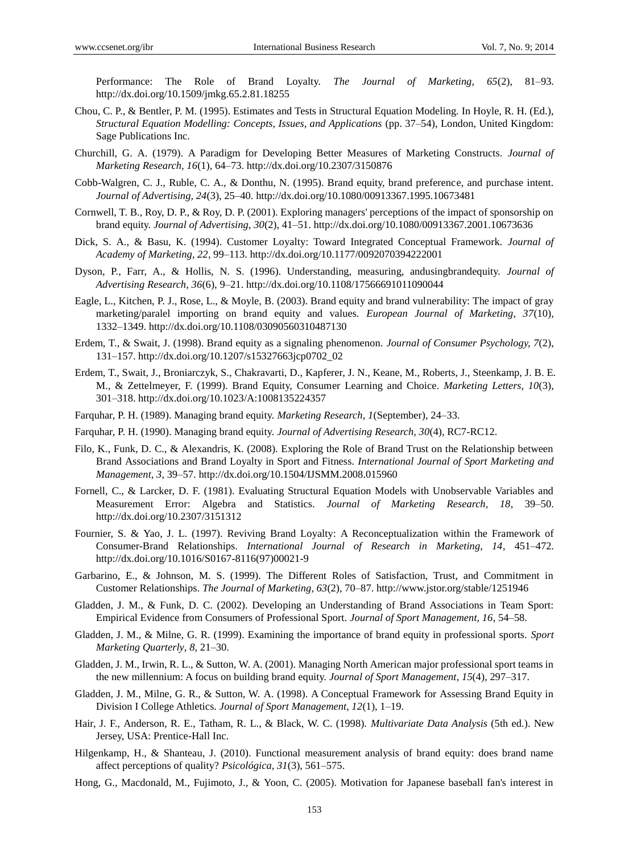Performance: The Role of Brand Loyalty. *The Journal of Marketing, 65*(2), 81–93. http://dx.doi.org/10.1509/jmkg.65.2.81.18255

- Chou, C. P., & Bentler, P. M. (1995). Estimates and Tests in Structural Equation Modeling. In Hoyle, R. H. (Ed.), *Structural Equation Modelling: Concepts, Issues, and Applications* (pp. 37–54), London, United Kingdom: Sage Publications Inc.
- Churchill, G. A. (1979). A Paradigm for Developing Better Measures of Marketing Constructs. *Journal of Marketing Research, 16*(1), 64–73. http://dx.doi.org/10.2307/3150876
- Cobb-Walgren, C. J., Ruble, C. A., & Donthu, N. (1995). Brand equity, brand preference, and purchase intent. *Journal of Advertising, 24*(3), 25–40. http://dx.doi.org/10.1080/00913367.1995.10673481
- Cornwell, T. B., Roy, D. P., & Roy, D. P. (2001). Exploring managers' perceptions of the impact of sponsorship on brand equity. *Journal of Advertising*, *30*(2), 41–51. http://dx.doi.org/10.1080/00913367.2001.10673636
- Dick, S. A., & Basu, K. (1994). Customer Loyalty: Toward Integrated Conceptual Framework. *Journal of Academy of Marketing, 22*, 99–113. http://dx.doi.org/10.1177/0092070394222001
- Dyson, P., Farr, A., & Hollis, N. S. (1996). Understanding, measuring, andusingbrandequity. *Journal of Advertising Research, 36*(6), 9–21. http://dx.doi.org/10.1108/17566691011090044
- Eagle, L., Kitchen, P. J., Rose, L., & Moyle, B. (2003). Brand equity and brand vulnerability: The impact of gray marketing/paralel importing on brand equity and values. *European Journal of Marketing, 37*(10), 1332–1349. http://dx.doi.org/10.1108/03090560310487130
- Erdem, T., & Swait, J. (1998). Brand equity as a signaling phenomenon. *Journal of Consumer Psychology, 7*(2), 131–157. http://dx.doi.org/10.1207/s15327663jcp0702\_02
- Erdem, T., Swait, J., Broniarczyk, S., Chakravarti, D., Kapferer, J. N., Keane, M., Roberts, J., Steenkamp, J. B. E. M., & Zettelmeyer, F. (1999). Brand Equity, Consumer Learning and Choice. *Marketing Letters, 10*(3), 301–318. http://dx.doi.org/10.1023/A:1008135224357
- Farquhar, P. H. (1989). Managing brand equity. *Marketing Research, 1*(September), 24–33.
- Farquhar, P. H. (1990). Managing brand equity. *Journal of Advertising Research, 30*(4), RC7-RC12.
- Filo, K., Funk, D. C., & Alexandris, K. (2008). Exploring the Role of Brand Trust on the Relationship between Brand Associations and Brand Loyalty in Sport and Fitness. *International Journal of Sport Marketing and Management, 3*, 39–57. http://dx.doi.org/10.1504/IJSMM.2008.015960
- Fornell, C., & Larcker, D. F. (1981). Evaluating Structural Equation Models with Unobservable Variables and Measurement Error: Algebra and Statistics. *Journal of Marketing Research, 18*, 39–50. http://dx.doi.org/10.2307/3151312
- Fournier, S. & Yao, J. L. (1997). Reviving Brand Loyalty: A Reconceptualization within the Framework of Consumer-Brand Relationships. *International Journal of Research in Marketing, 14*, 451–472. http://dx.doi.org/10.1016/S0167-8116(97)00021-9
- Garbarino, E., & Johnson, M. S. (1999). The Different Roles of Satisfaction, Trust, and Commitment in Customer Relationships. *The Journal of Marketing, 63*(2), 70–87. http://www.jstor.org/stable/1251946
- Gladden, J. M., & Funk, D. C. (2002). Developing an Understanding of Brand Associations in Team Sport: Empirical Evidence from Consumers of Professional Sport. *Journal of Sport Management, 16*, 54–58.
- Gladden, J. M., & Milne, G. R. (1999). Examining the importance of brand equity in professional sports. *Sport Marketing Quarterly*, *8*, 21–30.
- Gladden, J. M., Irwin, R. L., & Sutton, W. A. (2001). Managing North American major professional sport teams in the new millennium: A focus on building brand equity. *Journal of Sport Management*, *15*(4), 297–317.
- Gladden, J. M., Milne, G. R., & Sutton, W. A. (1998). A Conceptual Framework for Assessing Brand Equity in Division I College Athletics. *Journal of Sport Management, 12*(1), 1–19.
- Hair, J. F., Anderson, R. E., Tatham, R. L., & Black, W. C. (1998). *Multivariate Data Analysis* (5th ed.). New Jersey, USA: Prentice-Hall Inc.
- Hilgenkamp, H., & Shanteau, J. (2010). Functional measurement analysis of brand equity: does brand name affect perceptions of quality? *Psicológica, 31*(3), 561–575.
- Hong, G., Macdonald, M., Fujimoto, J., & Yoon, C. (2005). Motivation for Japanese baseball fan's interest in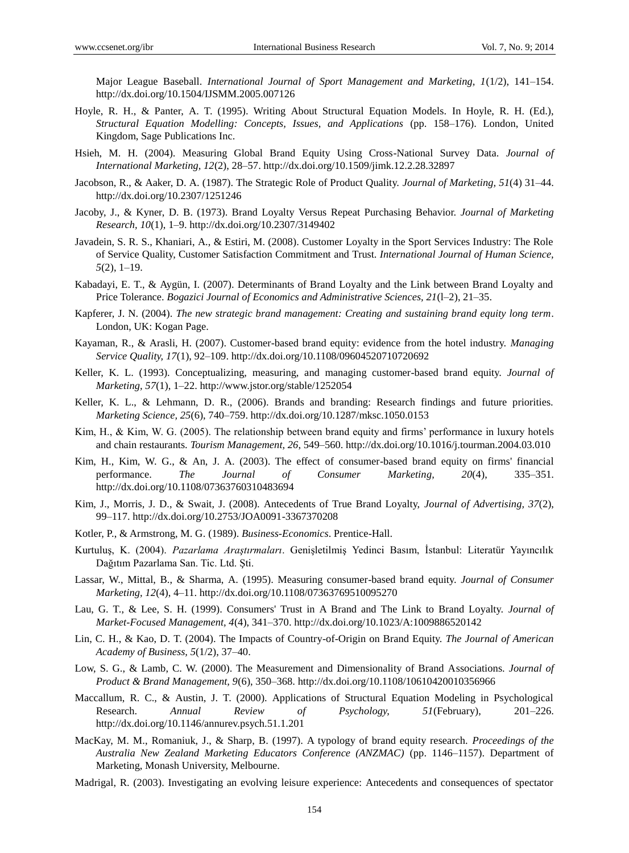Major League Baseball. *International Journal of Sport Management and Marketing, 1*(1/2), 141–154. http://dx.doi.org/10.1504/IJSMM.2005.007126

- Hoyle, R. H., & Panter, A. T. (1995). Writing About Structural Equation Models. In Hoyle, R. H. (Ed.), *Structural Equation Modelling: Concepts, Issues, and Applications* (pp. 158–176). London, United Kingdom, Sage Publications Inc.
- Hsieh, M. H. (2004). Measuring Global Brand Equity Using Cross-National Survey Data. *Journal of International Marketing, 12*(2), 28–57. http://dx.doi.org/10.1509/jimk.12.2.28.32897
- Jacobson, R., & Aaker, D. A. (1987). The Strategic Role of Product Quality. *Journal of Marketing, 51*(4) 31–44. http://dx.doi.org/10.2307/1251246
- Jacoby, J., & Kyner, D. B. (1973). Brand Loyalty Versus Repeat Purchasing Behavior. *Journal of Marketing Research, 10*(1), 1–9. http://dx.doi.org/10.2307/3149402
- Javadein, S. R. S., Khaniari, A., & Estiri, M. (2008). Customer Loyalty in the Sport Services Industry: The Role of Service Quality, Customer Satisfaction Commitment and Trust. *International Journal of Human Science, 5*(2), 1–19.
- Kabadayi, E. T., & Aygün, I. (2007). Determinants of Brand Loyalty and the Link between Brand Loyalty and Price Tolerance. *Bogazici Journal of Economics and Administrative Sciences, 21*(l–2), 21–35.
- Kapferer, J. N. (2004). *The new strategic brand management: Creating and sustaining brand equity long term*. London, UK: Kogan Page.
- Kayaman, R., & Arasli, H. (2007). Customer-based brand equity: evidence from the hotel industry. *Managing Service Quality, 17*(1), 92–109. http://dx.doi.org/10.1108/09604520710720692
- Keller, K. L. (1993). Conceptualizing, measuring, and managing customer-based brand equity. *Journal of Marketing, 57*(1), 1–22. http://www.jstor.org/stable/1252054
- Keller, K. L., & Lehmann, D. R., (2006). Brands and branding: Research findings and future priorities. *Marketing Science, 25*(6), 740–759. http://dx.doi.org/10.1287/mksc.1050.0153
- Kim, H., & Kim, W. G. (2005). The relationship between brand equity and firms' performance in luxury hotels and chain restaurants. *Tourism Management, 26*, 549–560. http://dx.doi.org/10.1016/j.tourman.2004.03.010
- Kim, H., Kim, W. G., & An, J. A. (2003). The effect of consumer-based brand equity on firms' financial performance. *The Journal of Consumer Marketing, 20*(4), 335–351. http://dx.doi.org/10.1108/07363760310483694
- Kim, J., Morris, J. D., & Swait, J. (2008). Antecedents of True Brand Loyalty, *Journal of Advertising, 37*(2), 99–117. http://dx.doi.org/10.2753/JOA0091-3367370208
- Kotler, P., & Armstrong, M. G. (1989). *Business-Economics*. Prentice-Hall.
- Kurtuluş, K. (2004). *Pazarlama Araştırmaları*. Genişletilmiş Yedinci Basım, İstanbul: Literatür Yayıncılık Dağıtım Pazarlama San. Tic. Ltd. Şti.
- Lassar, W., Mittal, B., & Sharma, A. (1995). Measuring consumer-based brand equity. *Journal of Consumer Marketing, 12*(4), 4–11. http://dx.doi.org/10.1108/07363769510095270
- Lau, G. T., & Lee, S. H. (1999). Consumers' Trust in A Brand and The Link to Brand Loyalty. *Journal of Market-Focused Management, 4*(4), 341–370. http://dx.doi.org/10.1023/A:1009886520142
- Lin, C. H., & Kao, D. T. (2004). The Impacts of Country-of-Origin on Brand Equity. *The Journal of American Academy of Business, 5*(1/2), 37–40.
- Low, S. G., & Lamb, C. W. (2000). The Measurement and Dimensionality of Brand Associations. *Journal of Product & Brand Management, 9*(6), 350–368. http://dx.doi.org/10.1108/10610420010356966
- Maccallum, R. C., & Austin, J. T. (2000). Applications of Structural Equation Modeling in Psychological Research. *Annual Review of Psychology, 51*(February), 201–226. http://dx.doi.org/10.1146/annurev.psych.51.1.201
- MacKay, M. M., Romaniuk, J., & Sharp, B. (1997). A typology of brand equity research. *Proceedings of the Australia New Zealand Marketing Educators Conference (ANZMAC)* (pp. 1146–1157). Department of Marketing, Monash University, Melbourne.
- Madrigal, R. (2003). Investigating an evolving leisure experience: Antecedents and consequences of spectator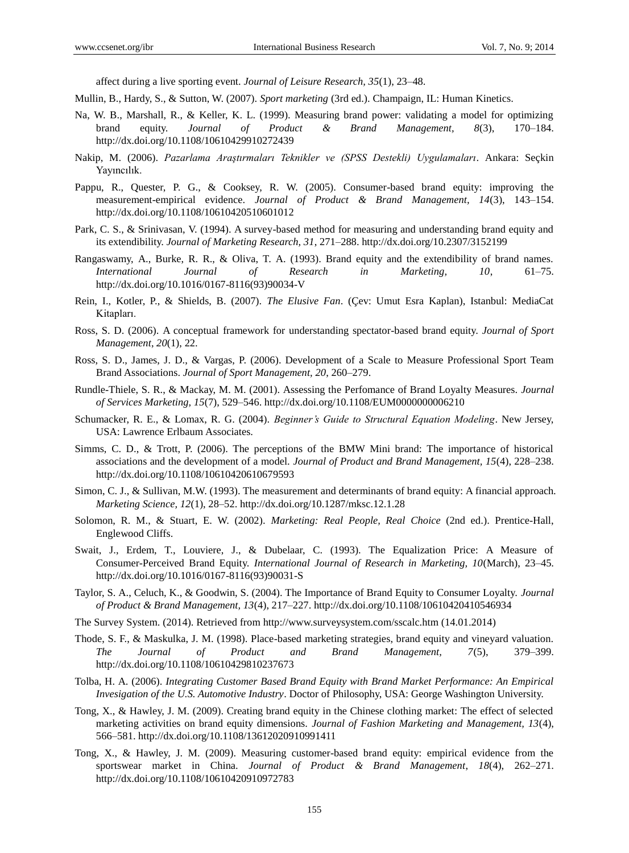affect during a live sporting event. *Journal of Leisure Research, 35*(1), 23–48.

Mullin, B., Hardy, S., & Sutton, W. (2007). *Sport marketing* (3rd ed.). Champaign, IL: Human Kinetics.

- Na, W. B., Marshall, R., & Keller, K. L. (1999). Measuring brand power: validating a model for optimizing brand equity. *Journal of Product & Brand Management, 8*(3), 170–184. http://dx.doi.org/10.1108/10610429910272439
- Nakip, M. (2006). *Pazarlama Araştırmaları Teknikler ve (SPSS Destekli) Uygulamaları*. Ankara: Seçkin Yayıncılık.
- Pappu, R., Quester, P. G., & Cooksey, R. W. (2005). Consumer-based brand equity: improving the measurement-empirical evidence. *Journal of Product & Brand Management, 14*(3), 143–154. http://dx.doi.org/10.1108/10610420510601012
- Park, C. S., & Srinivasan, V. (1994). A survey-based method for measuring and understanding brand equity and its extendibility. *Journal of Marketing Research, 31*, 271–288. http://dx.doi.org/10.2307/3152199
- Rangaswamy, A., Burke, R. R., & Oliva, T. A. (1993). Brand equity and the extendibility of brand names. *International Journal of Research in Marketing, 10*, 61–75. http://dx.doi.org/10.1016/0167-8116(93)90034-V
- Rein, I., Kotler, P., & Shields, B. (2007). *The Elusive Fan*. (Çev: Umut Esra Kaplan), Istanbul: MediaCat Kitapları.
- Ross, S. D. (2006). A conceptual framework for understanding spectator-based brand equity. *Journal of Sport Management*, *20*(1), 22.
- Ross, S. D., James, J. D., & Vargas, P. (2006). Development of a Scale to Measure Professional Sport Team Brand Associations. *Journal of Sport Management, 20*, 260–279.
- Rundle-Thiele, S. R., & Mackay, M. M. (2001). Assessing the Perfomance of Brand Loyalty Measures. *Journal of Services Marketing, 15*(7), 529–546. http://dx.doi.org/10.1108/EUM0000000006210
- Schumacker, R. E., & Lomax, R. G. (2004). *Beginner's Guide to Structural Equation Modeling*. New Jersey, USA: Lawrence Erlbaum Associates.
- Simms, C. D., & Trott, P. (2006). The perceptions of the BMW Mini brand: The importance of historical associations and the development of a model. *Journal of Product and Brand Management, 15*(4), 228–238. http://dx.doi.org/10.1108/10610420610679593
- Simon, C. J., & Sullivan, M.W. (1993). The measurement and determinants of brand equity: A financial approach. *Marketing Science, 12*(1), 28–52. http://dx.doi.org/10.1287/mksc.12.1.28
- Solomon, R. M., & Stuart, E. W. (2002). *Marketing: Real People, Real Choice* (2nd ed.). Prentice-Hall, Englewood Cliffs.
- Swait, J., Erdem, T., Louviere, J., & Dubelaar, C. (1993). The Equalization Price: A Measure of Consumer-Perceived Brand Equity. *International Journal of Research in Marketing, 10*(March), 23–45. http://dx.doi.org/10.1016/0167-8116(93)90031-S
- Taylor, S. A., Celuch, K., & Goodwin, S. (2004). The Importance of Brand Equity to Consumer Loyalty. *Journal of Product & Brand Management, 13*(4), 217–227. http://dx.doi.org/10.1108/10610420410546934
- The Survey System. (2014). Retrieved from http://www.surveysystem.com/sscalc.htm (14.01.2014)
- Thode, S. F., & Maskulka, J. M. (1998). Place-based marketing strategies, brand equity and vineyard valuation. *The Journal of Product and Brand Management, 7*(5), 379–399. http://dx.doi.org/10.1108/10610429810237673
- Tolba, H. A. (2006). *Integrating Customer Based Brand Equity with Brand Market Performance: An Empirical Invesigation of the U.S. Automotive Industry*. Doctor of Philosophy, USA: George Washington University.
- Tong, X., & Hawley, J. M. (2009). Creating brand equity in the Chinese clothing market: The effect of selected marketing activities on brand equity dimensions. *Journal of Fashion Marketing and Management, 13*(4), 566–581. http://dx.doi.org/10.1108/13612020910991411
- Tong, X., & Hawley, J. M. (2009). Measuring customer-based brand equity: empirical evidence from the sportswear market in China. *Journal of Product & Brand Management*, *18*(4), 262–271. http://dx.doi.org/10.1108/10610420910972783